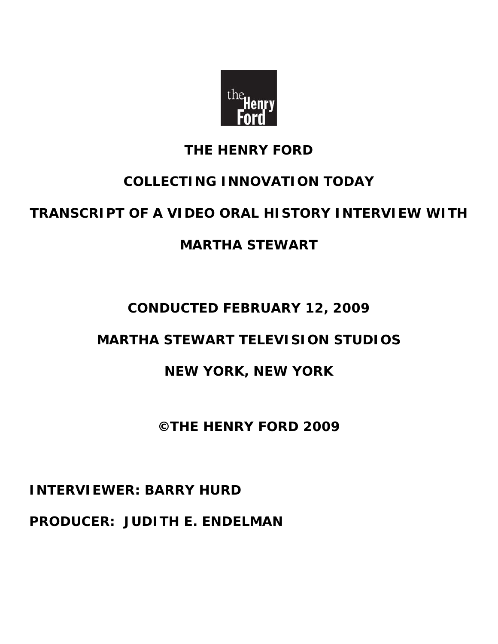

## **THE HENRY FORD**

# **COLLECTING INNOVATION TODAY**

# **TRANSCRIPT OF A VIDEO ORAL HISTORY INTERVIEW WITH**

# **MARTHA STEWART**

# **CONDUCTED FEBRUARY 12, 2009**

# **MARTHA STEWART TELEVISION STUDIOS**

### **NEW YORK, NEW YORK**

### **©THE HENRY FORD 2009**

## **INTERVIEWER: BARRY HURD**

### **PRODUCER: JUDITH E. ENDELMAN**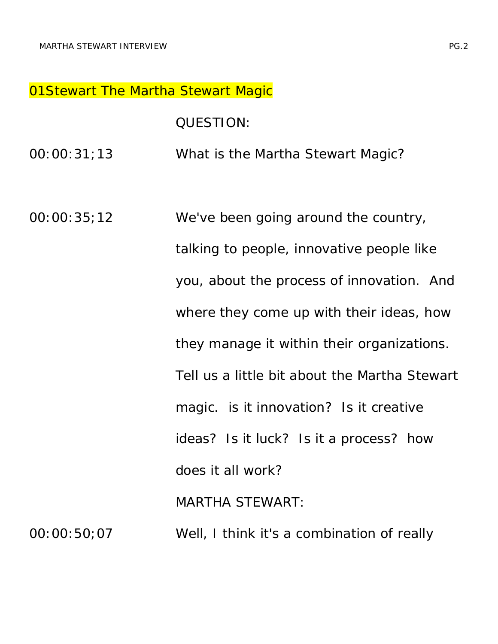#### **01Stewart The Martha Stewart Magic**

QUESTION:

00:00:31;13 What is the Martha Stewart Magic?

00:00:35;12 We've been going around the country, talking to people, innovative people like you, about the process of innovation. And where they come up with their ideas, how they manage it within their organizations. Tell us a little bit about the Martha Stewart magic. is it innovation? Is it creative ideas? Is it luck? Is it a process? how does it all work? MARTHA STEWART: 00:00:50;07 Well, I think it's a combination of really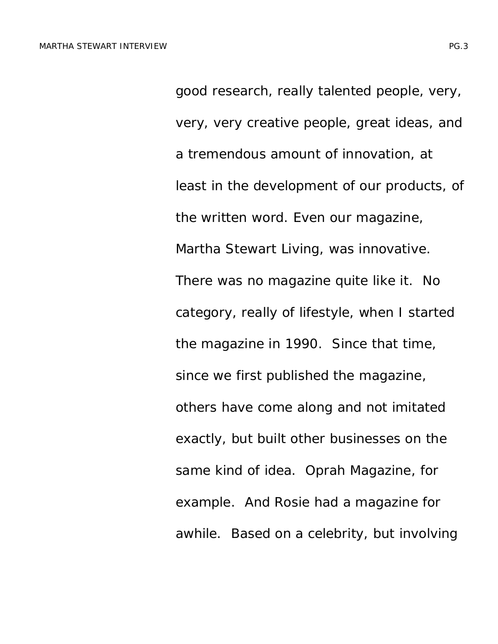good research, really talented people, very, very, very creative people, great ideas, and a tremendous amount of innovation, at least in the development of our products, of the written word. Even our magazine, Martha Stewart Living, was innovative. There was no magazine quite like it. No category, really of lifestyle, when I started the magazine in 1990. Since that time, since we first published the magazine, others have come along and not imitated exactly, but built other businesses on the same kind of idea. Oprah Magazine, for example. And Rosie had a magazine for awhile. Based on a celebrity, but involving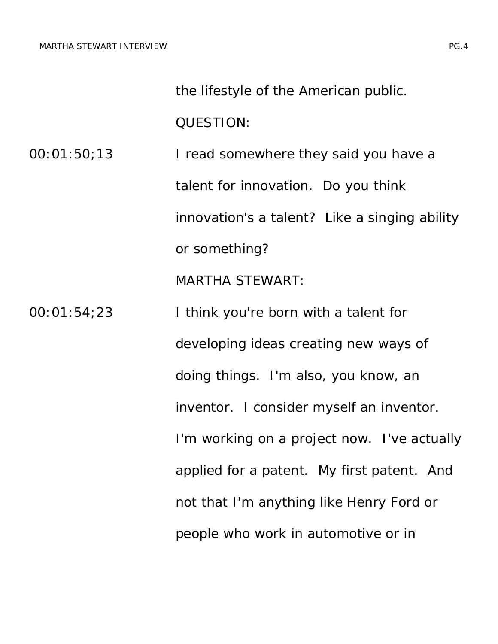the lifestyle of the American public.

QUESTION:

00:01:50;13 I read somewhere they said you have a talent for innovation. Do you think innovation's a talent? Like a singing ability or something? MARTHA STEWART:

00:01:54;23 I think you're born with a talent for developing ideas creating new ways of doing things. I'm also, you know, an inventor. I consider myself an inventor. I'm working on a project now. I've actually applied for a patent. My first patent. And not that I'm anything like Henry Ford or people who work in automotive or in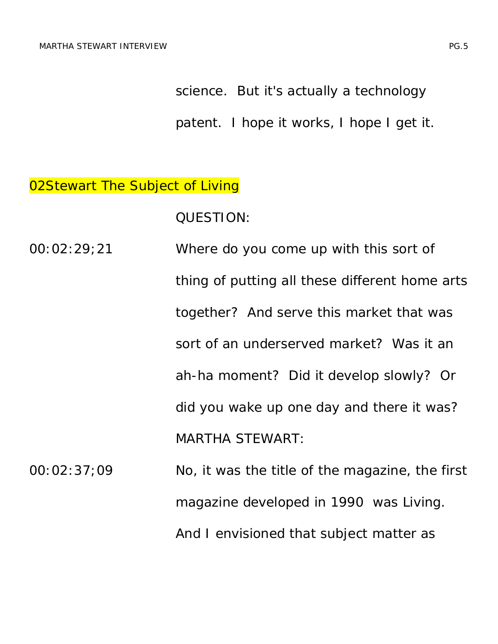science. But it's actually a technology

patent. I hope it works, I hope I get it.

### 02Stewart The Subject of *Living*

QUESTION:

- 00:02:29;21 Where do you come up with this sort of thing of putting all these different home arts together? And serve this market that was sort of an underserved market? Was it an ah-ha moment? Did it develop slowly? Or did you wake up one day and there it was? MARTHA STEWART:
- 00:02:37;09 No, it was the title of the magazine, the first magazine developed in 1990 was *Living*. And I envisioned that subject matter as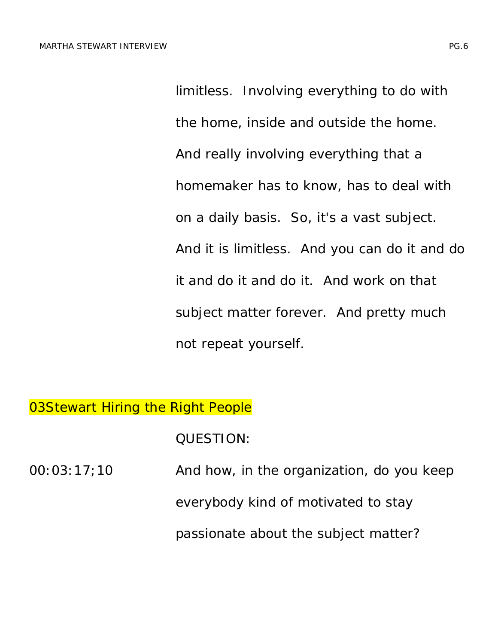limitless. Involving everything to do with the home, inside and outside the home. And really involving everything that a homemaker has to know, has to deal with on a daily basis. So, it's a vast subject. And it is limitless. And you can do it and do it and do it and do it. And work on that subject matter forever. And pretty much not repeat yourself.

### **03Stewart Hiring the Right People**

QUESTION:

| 00:03:17:10 | And how, in the organization, do you keep |
|-------------|-------------------------------------------|
|             | everybody kind of motivated to stay       |
|             | passionate about the subject matter?      |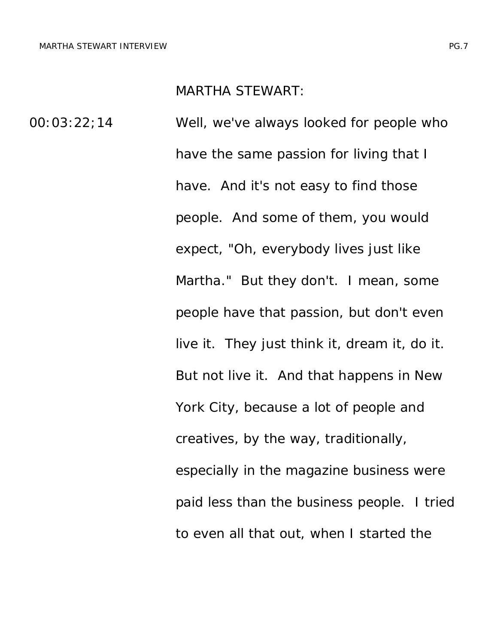#### MARTHA STEWART:

00:03:22;14 Well, we've always looked for people who have the same passion for living that I have. And it's not easy to find those people. And some of them, you would expect, "Oh, everybody lives just like Martha." But they don't. I mean, some people have that passion, but don't even live it. They just think it, dream it, do it. But not live it. And that happens in New York City, because a lot of people and creatives, by the way, traditionally, especially in the magazine business were paid less than the business people. I tried to even all that out, when I started the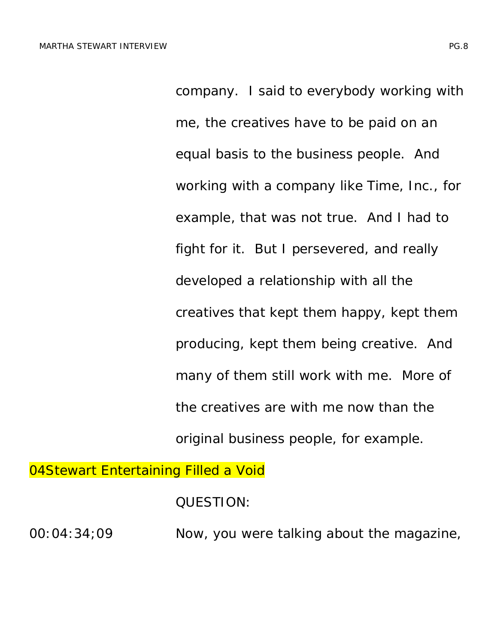company. I said to everybody working with me, the creatives have to be paid on an equal basis to the business people. And working with a company like Time, Inc., for example, that was not true. And I had to fight for it. But I persevered, and really developed a relationship with all the creatives that kept them happy, kept them producing, kept them being creative. And many of them still work with me. More of the creatives are with me now than the original business people, for example.

04Stewart *Entertaining* Filled a Void

QUESTION:

00:04:34;09 Now, you were talking about the magazine,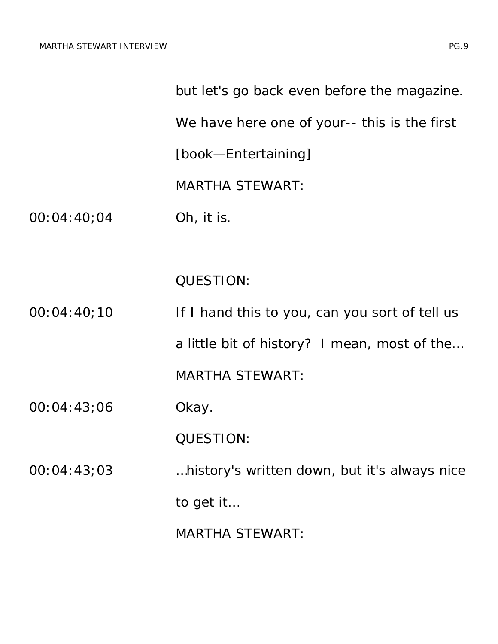|             | but let's go back even before the magazine.    |
|-------------|------------------------------------------------|
|             | We have here one of your-- this is the first   |
|             | [book-Entertaining]                            |
|             | <b>MARTHA STEWART:</b>                         |
| 00:04:40;04 | Oh, it is.                                     |
|             |                                                |
|             | <b>QUESTION:</b>                               |
| 00:04:40;10 | If I hand this to you, can you sort of tell us |
|             | a little bit of history? I mean, most of the   |
|             | <b>MARTHA STEWART:</b>                         |
| 00:04:43;06 | Okay.                                          |
|             | QUESTION:                                      |
| 00:04:43;03 | history's written down, but it's always nice   |
|             | to get it                                      |
|             | <b>MARTHA STEWART:</b>                         |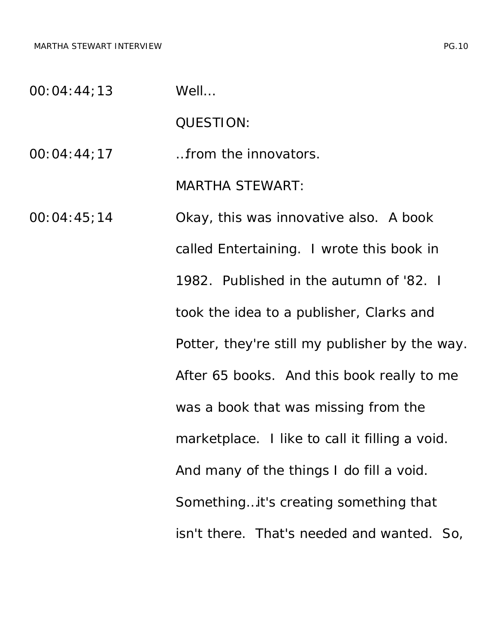MARTHA STEWART INTERVIEW **EXECUTE INTERVIEW PG.10** 

00:04:44;13 Well…

QUESTION:

00:04:44;17 …from the innovators.

MARTHA STEWART:

00:04:45;14 Okay, this was innovative also. A book called *Entertaining*. I wrote this book in 1982. Published in the autumn of '82. I took the idea to a publisher, Clarks and Potter, they're still my publisher by the way. After 65 books. And this book really to me was a book that was missing from the marketplace. I like to call it filling a void. And many of the things I do fill a void. Something…it's creating something that isn't there. That's needed and wanted. So,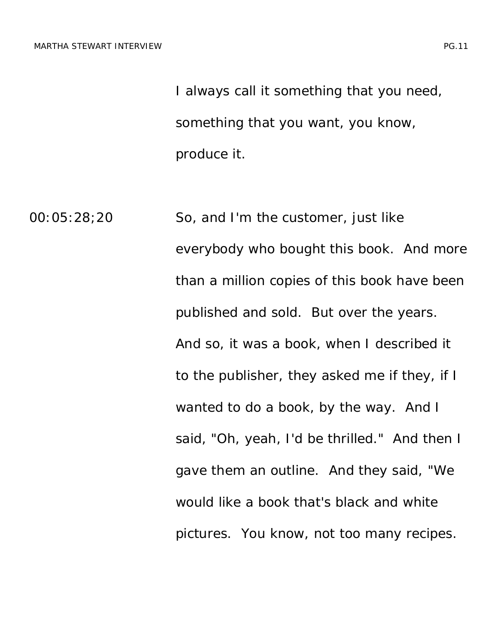I always call it something that you need, something that you want, you know, produce it.

00:05:28;20 So, and I'm the customer, just like everybody who bought this book. And more than a million copies of this book have been published and sold. But over the years. And so, it was a book, when I described it to the publisher, they asked me if they, if I wanted to do a book, by the way. And I said, "Oh, yeah, I'd be thrilled." And then I gave them an outline. And they said, "We would like a book that's black and white pictures. You know, not too many recipes.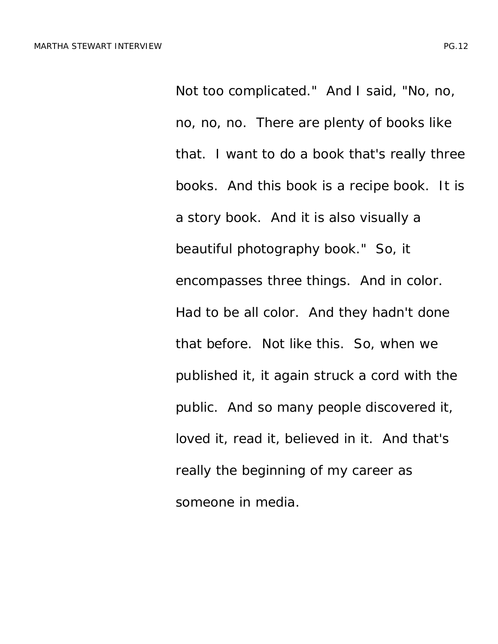Not too complicated." And I said, "No, no, no, no, no. There are plenty of books like that. I want to do a book that's really three books. And this book is a recipe book. It is a story book. And it is also visually a beautiful photography book." So, it encompasses three things. And in color. Had to be all color. And they hadn't done that before. Not like this. So, when we published it, it again struck a cord with the public. And so many people discovered it, loved it, read it, believed in it. And that's really the beginning of my career as someone in media.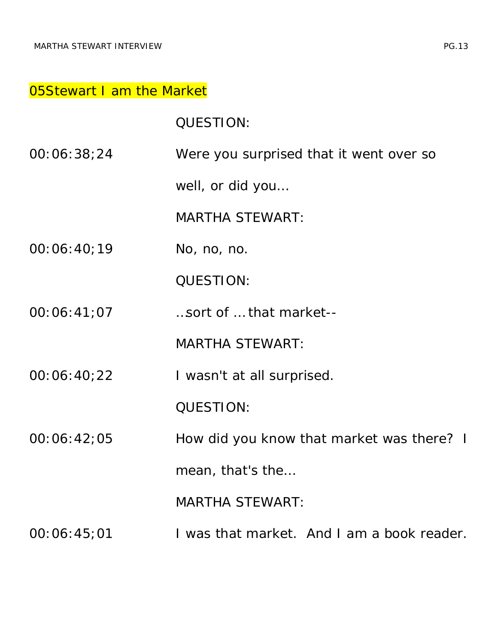#### 05Stewart I am the Market

QUESTION:

00:06:38;24 Were you surprised that it went over so

well, or did you…

MARTHA STEWART:

00:06:40;19 No, no, no.

QUESTION:

00:06:41;07 …sort of … that market--

MARTHA STEWART:

00:06:40;22 I wasn't at all surprised.

QUESTION:

00:06:42;05 How did you know that market was there? I

mean, that's the…

MARTHA STEWART:

00:06:45;01 I was that market. And I am a book reader.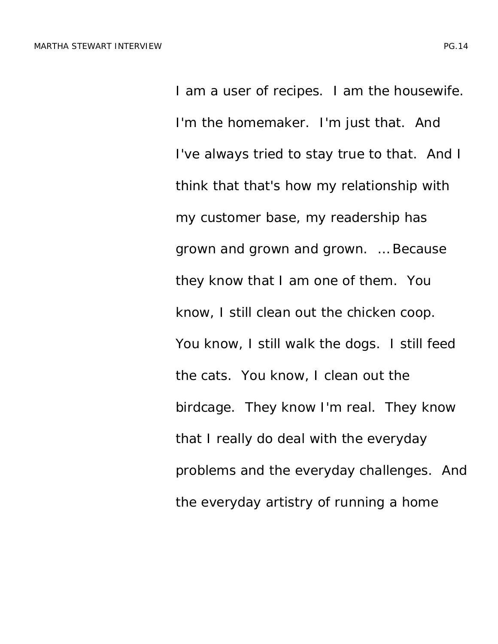I am a user of recipes. I am the housewife. I'm the homemaker. I'm just that. And I've always tried to stay true to that. And I think that that's how my relationship with my customer base, my readership has grown and grown and grown. … Because they know that I am one of them. You know, I still clean out the chicken coop. You know, I still walk the dogs. I still feed the cats. You know, I clean out the birdcage. They know I'm real. They know that I really do deal with the everyday problems and the everyday challenges. And the everyday artistry of running a home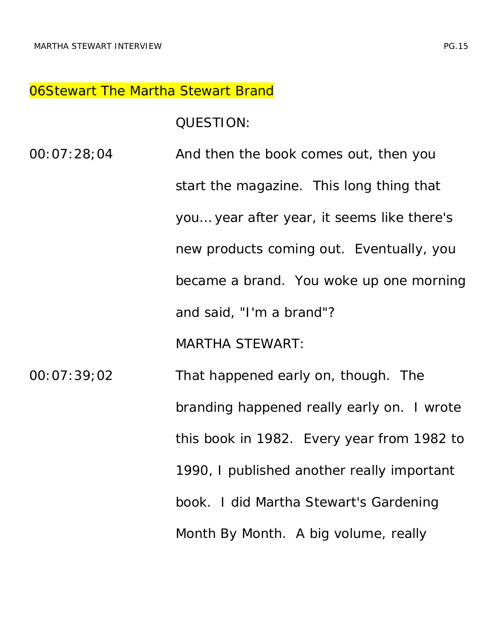#### 06Stewart The Martha Stewart Brand

QUESTION:

00:07:28;04 And then the book comes out, then you start the magazine. This long thing that you… year after year, it seems like there's new products coming out. Eventually, you became a brand. You woke up one morning and said, "I'm a brand"? MARTHA STEWART:

00:07:39;02 That happened early on, though. The branding happened really early on. I wrote this book in 1982. Every year from 1982 to 1990, I published another really important book. I did *Martha Stewart's Gardening Month By Month*. A big volume, really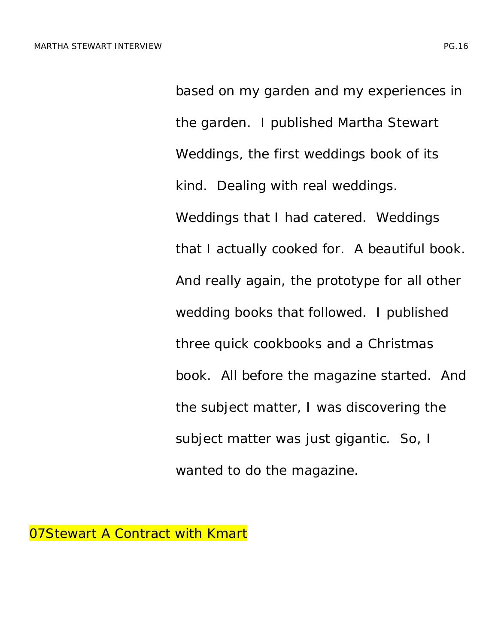based on my garden and my experiences in the garden. I published *Martha Stewart Weddings*, the first weddings book of its kind. Dealing with real weddings. Weddings that I had catered. Weddings that I actually cooked for. A beautiful book. And really again, the prototype for all other wedding books that followed. I published three quick cookbooks and a Christmas book. All before the magazine started. And the subject matter, I was discovering the subject matter was just gigantic. So, I wanted to do the magazine.

07Stewart A Contract with Kmart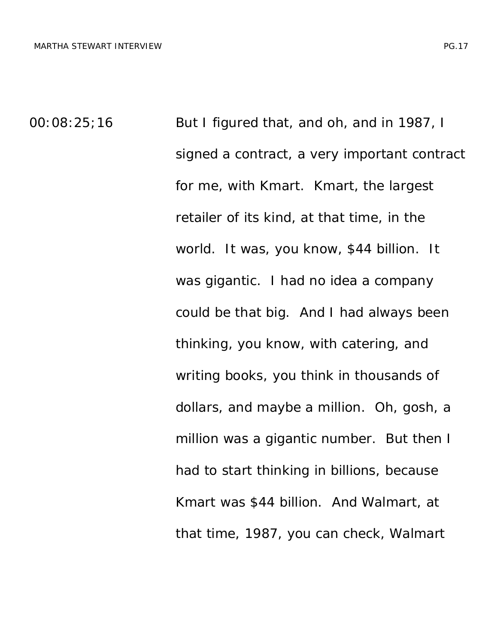00:08:25;16 But I figured that, and oh, and in 1987, I signed a contract, a very important contract for me, with Kmart. Kmart, the largest retailer of its kind, at that time, in the world. It was, you know, \$44 billion. It was gigantic. I had no idea a company could be that big. And I had always been thinking, you know, with catering, and writing books, you think in thousands of dollars, and maybe a million. Oh, gosh, a million was a gigantic number. But then I had to start thinking in billions, because Kmart was \$44 billion. And Walmart, at that time, 1987, you can check, Walmart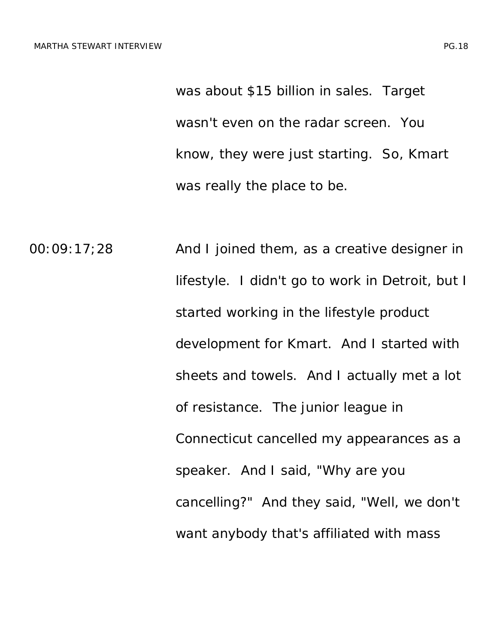was about \$15 billion in sales. Target wasn't even on the radar screen. You know, they were just starting. So, Kmart was really the place to be.

00:09:17;28 And I joined them, as a creative designer in lifestyle. I didn't go to work in Detroit, but I started working in the lifestyle product development for Kmart. And I started with sheets and towels. And I actually met a lot of resistance. The junior league in Connecticut cancelled my appearances as a speaker. And I said, "Why are you cancelling?" And they said, "Well, we don't want anybody that's affiliated with mass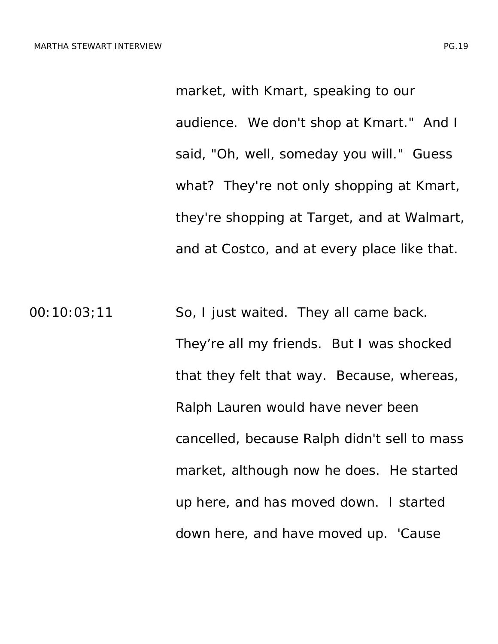market, with Kmart, speaking to our audience. We don't shop at Kmart." And I said, "Oh, well, someday you will." Guess what? They're not only shopping at Kmart, they're shopping at Target, and at Walmart, and at Costco, and at every place like that.

00:10:03;11 So, I just waited. They all came back. They're all my friends. But I was shocked that they felt that way. Because, whereas, Ralph Lauren would have never been cancelled, because Ralph didn't sell to mass market, although now he does. He started up here, and has moved down. I started down here, and have moved up. 'Cause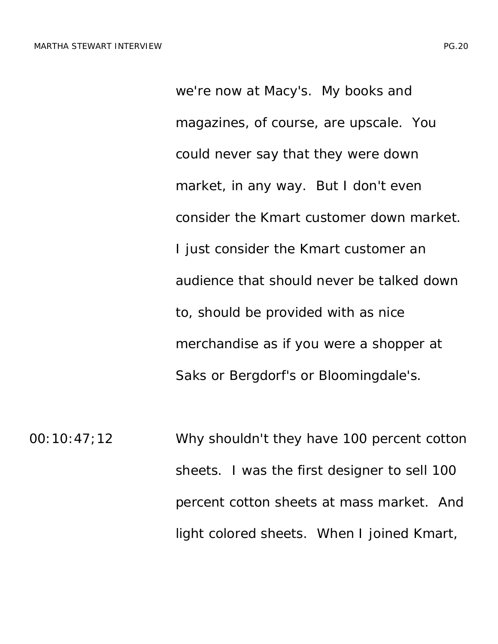we're now at Macy's. My books and magazines, of course, are upscale. You could never say that they were down market, in any way. But I don't even consider the Kmart customer down market. I just consider the Kmart customer an audience that should never be talked down to, should be provided with as nice merchandise as if you were a shopper at Saks or Bergdorf's or Bloomingdale's.

00:10:47;12 Why shouldn't they have 100 percent cotton sheets. I was the first designer to sell 100 percent cotton sheets at mass market. And light colored sheets. When I joined Kmart,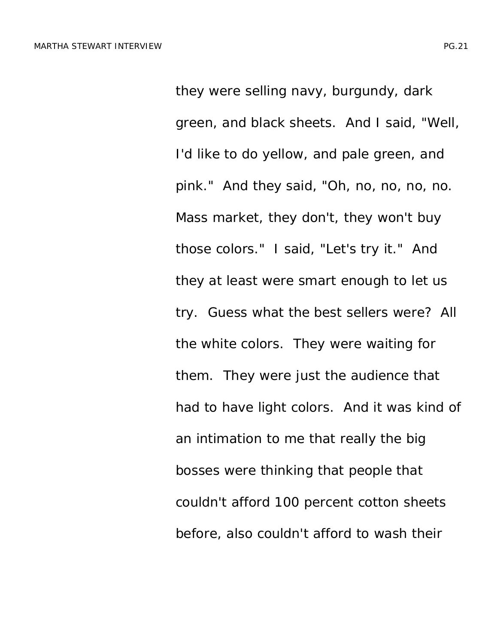they were selling navy, burgundy, dark green, and black sheets. And I said, "Well, I'd like to do yellow, and pale green, and pink." And they said, "Oh, no, no, no, no. Mass market, they don't, they won't buy those colors." I said, "Let's try it." And they at least were smart enough to let us try. Guess what the best sellers were? All the white colors. They were waiting for them. They were just the audience that had to have light colors. And it was kind of an intimation to me that really the big bosses were thinking that people that couldn't afford 100 percent cotton sheets before, also couldn't afford to wash their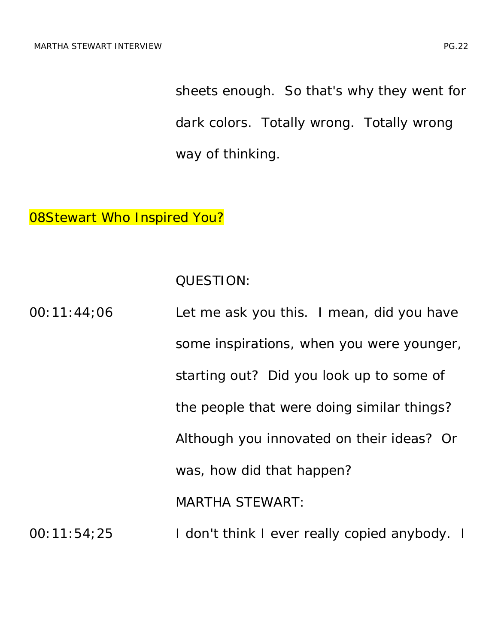sheets enough. So that's why they went for dark colors. Totally wrong. Totally wrong way of thinking.

## 08Stewart Who Inspired You?

QUESTION:

| 00:11:44:06 | Let me ask you this. I mean, did you have     |
|-------------|-----------------------------------------------|
|             | some inspirations, when you were younger,     |
|             | starting out? Did you look up to some of      |
|             | the people that were doing similar things?    |
|             | Although you innovated on their ideas? Or     |
|             | was, how did that happen?                     |
|             | <b>MARTHA STEWART:</b>                        |
| 00:11:54:25 | I don't think I ever really copied anybody. I |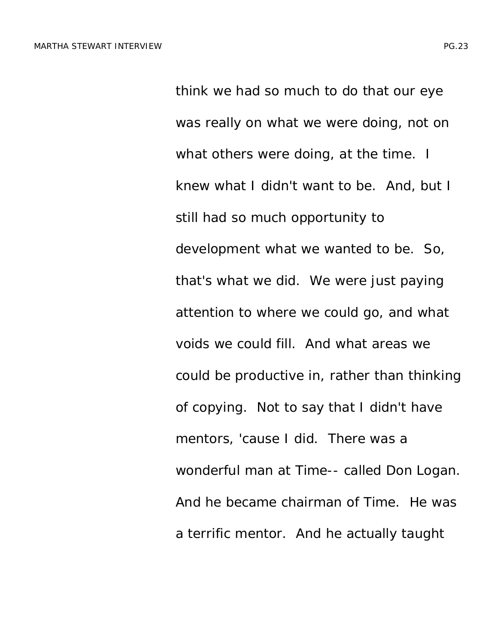think we had so much to do that our eye was really on what we were doing, not on what others were doing, at the time. I knew what I didn't want to be. And, but I still had so much opportunity to development what we wanted to be. So, that's what we did. We were just paying attention to where we could go, and what voids we could fill. And what areas we could be productive in, rather than thinking of copying. Not to say that I didn't have mentors, 'cause I did. There was a wonderful man at Time-- called Don Logan. And he became chairman of Time. He was a terrific mentor. And he actually taught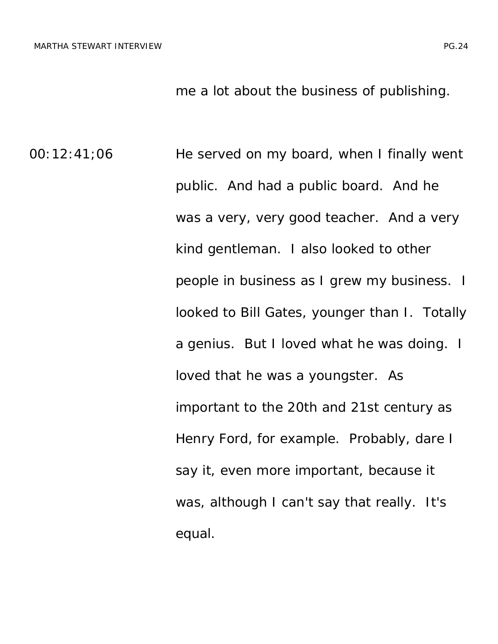me a lot about the business of publishing.

00:12:41;06 He served on my board, when I finally went public. And had a public board. And he was a very, very good teacher. And a very kind gentleman. I also looked to other people in business as I grew my business. I looked to Bill Gates, younger than I. Totally a genius. But I loved what he was doing. I loved that he was a youngster. As important to the 20th and 21st century as Henry Ford, for example. Probably, dare I say it, even more important, because it was, although I can't say that really. It's equal.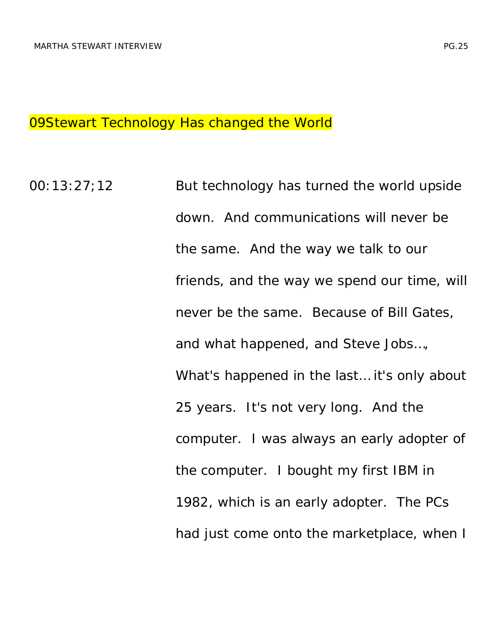### 09Stewart Technology Has changed the World

00:13:27;12 But technology has turned the world upside down. And communications will never be the same. And the way we talk to our friends, and the way we spend our time, will never be the same. Because of Bill Gates, and what happened, and Steve Jobs…, What's happened in the last… it's only about 25 years. It's not very long. And the computer. I was always an early adopter of the computer. I bought my first IBM in 1982, which is an early adopter. The PCs had just come onto the marketplace, when I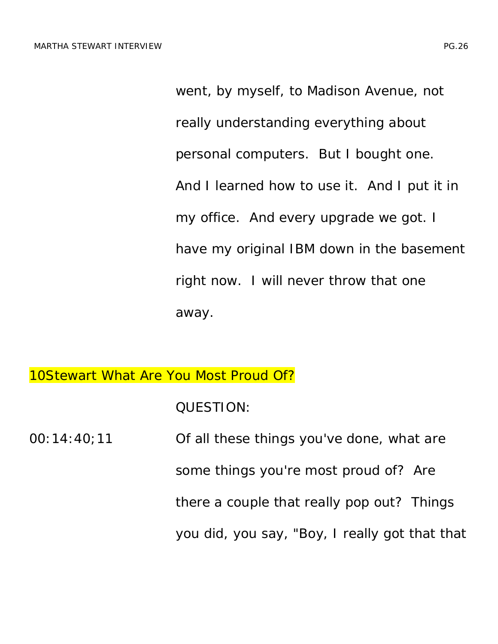went, by myself, to Madison Avenue, not really understanding everything about personal computers. But I bought one. And I learned how to use it. And I put it in my office. And every upgrade we got. I have my original IBM down in the basement right now. I will never throw that one away.

10Stewart What Are You Most Proud Of?

QUESTION:

00:14:40;11 Of all these things you've done, what are some things you're most proud of? Are there a couple that really pop out? Things you did, you say, "Boy, I really got that that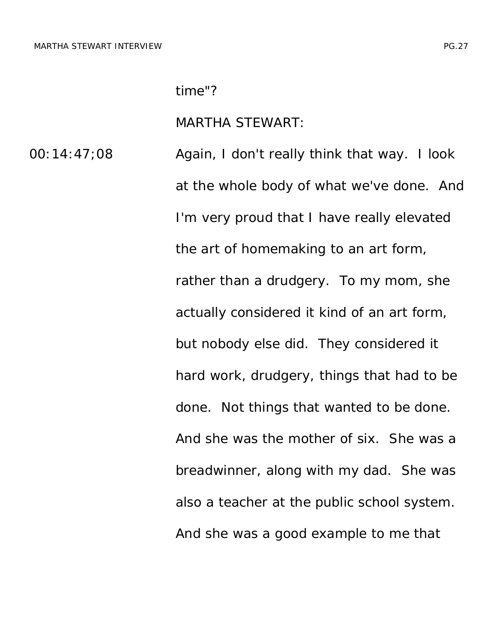#### MARTHA STEWART:

00:14:47;08 Again, I don't really think that way. I look at the whole body of what we've done. And I'm very proud that I have really elevated the art of homemaking to an art form, rather than a drudgery. To my mom, she actually considered it kind of an art form, but nobody else did. They considered it hard work, drudgery, things that had to be done. Not things that wanted to be done. And she was the mother of six. She was a breadwinner, along with my dad. She was also a teacher at the public school system. And she was a good example to me that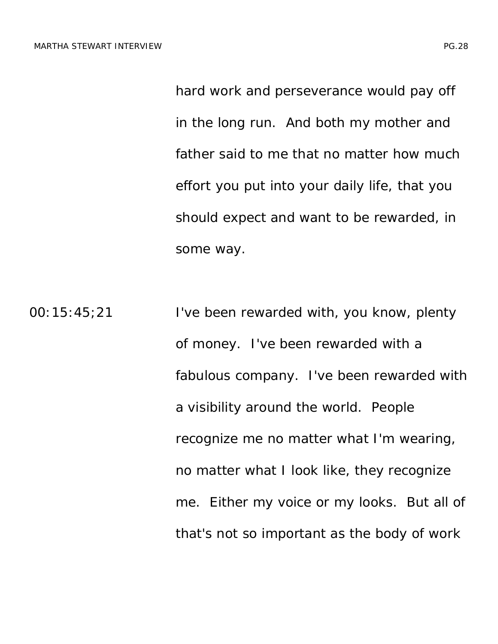hard work and perseverance would pay off in the long run. And both my mother and father said to me that no matter how much effort you put into your daily life, that you should expect and want to be rewarded, in some way.

00:15:45;21 I've been rewarded with, you know, plenty of money. I've been rewarded with a fabulous company. I've been rewarded with a visibility around the world. People recognize me no matter what I'm wearing, no matter what I look like, they recognize me. Either my voice or my looks. But all of that's not so important as the body of work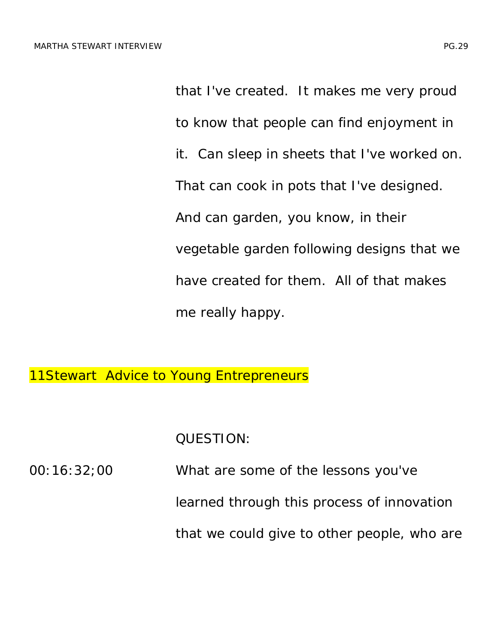that I've created. It makes me very proud to know that people can find enjoyment in it. Can sleep in sheets that I've worked on. That can cook in pots that I've designed. And can garden, you know, in their vegetable garden following designs that we have created for them. All of that makes me really happy.

**11Stewart Advice to Young Entrepreneurs** 

QUESTION:

| 00:16:32:00 | What are some of the lessons you've         |
|-------------|---------------------------------------------|
|             | learned through this process of innovation  |
|             | that we could give to other people, who are |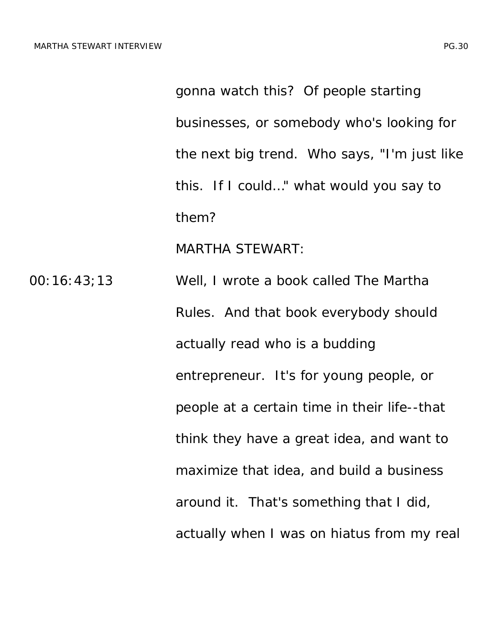gonna watch this? Of people starting businesses, or somebody who's looking for the next big trend. Who says, "I'm just like this. If I could…" what would you say to them?

MARTHA STEWART:

00:16:43;13 Well, I wrote a book called *The Martha Rules*. And that book everybody should actually read who is a budding entrepreneur. It's for young people, or people at a certain time in their life--that think they have a great idea, and want to maximize that idea, and build a business around it. That's something that I did, actually when I was on hiatus from my real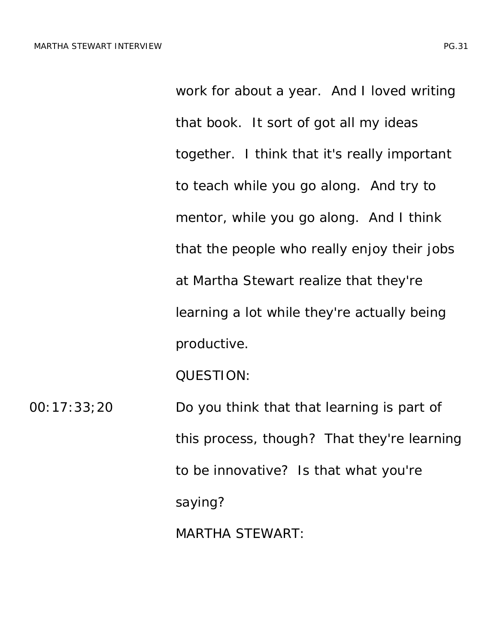work for about a year. And I loved writing that book. It sort of got all my ideas together. I think that it's really important to teach while you go along. And try to mentor, while you go along. And I think that the people who really enjoy their jobs at Martha Stewart realize that they're learning a lot while they're actually being productive.

QUESTION:

00:17:33;20 Do you think that that learning is part of this process, though? That they're learning to be innovative? Is that what you're saying? MARTHA STEWART: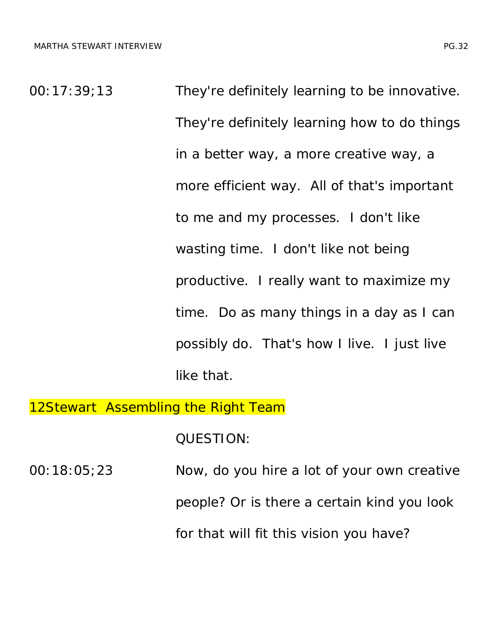00:17:39;13 They're definitely learning to be innovative. They're definitely learning how to do things in a better way, a more creative way, a more efficient way. All of that's important to me and my processes. I don't like wasting time. I don't like not being productive. I really want to maximize my time. Do as many things in a day as I can possibly do. That's how I live. I just live like that.

### 12Stewart Assembling the Right Team

QUESTION:

| 00:18:05:23 | Now, do you hire a lot of your own creative |
|-------------|---------------------------------------------|
|             | people? Or is there a certain kind you look |
|             | for that will fit this vision you have?     |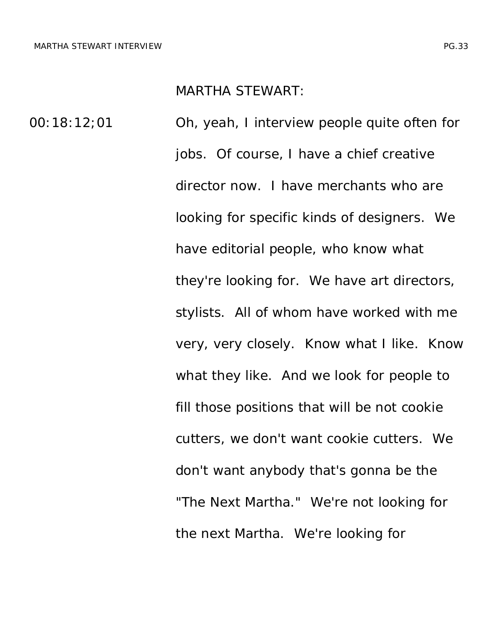#### MARTHA STEWART:

00:18:12;01 Oh, yeah, I interview people quite often for jobs. Of course, I have a chief creative director now. I have merchants who are looking for specific kinds of designers. We have editorial people, who know what they're looking for. We have art directors, stylists. All of whom have worked with me very, very closely. Know what I like. Know what they like. And we look for people to fill those positions that will be not cookie cutters, we don't want cookie cutters. We don't want anybody that's gonna be the "The Next Martha." We're not looking for the next Martha. We're looking for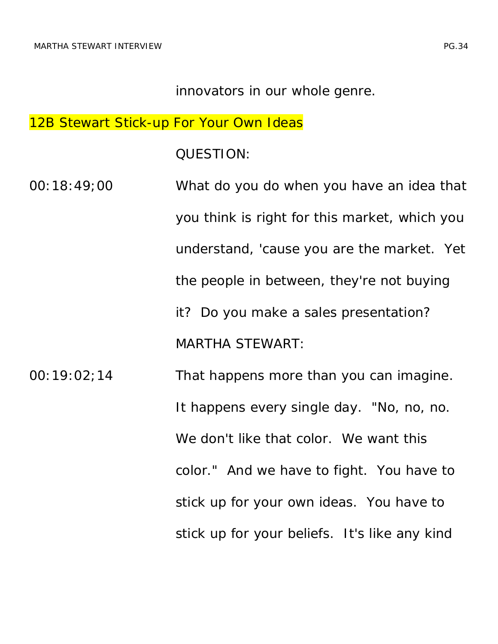#### innovators in our whole genre.

### 12B Stewart Stick-up For Your Own Ideas

#### QUESTION:

- 00:18:49;00 What do you do when you have an idea that you think is right for this market, which you understand, 'cause you are the market. Yet the people in between, they're not buying it? Do you make a sales presentation? MARTHA STEWART: 00:19:02;14 That happens more than you can imagine. It happens every single day. "No, no, no. We don't like that color. We want this color." And we have to fight. You have to stick up for your own ideas. You have to
	- stick up for your beliefs. It's like any kind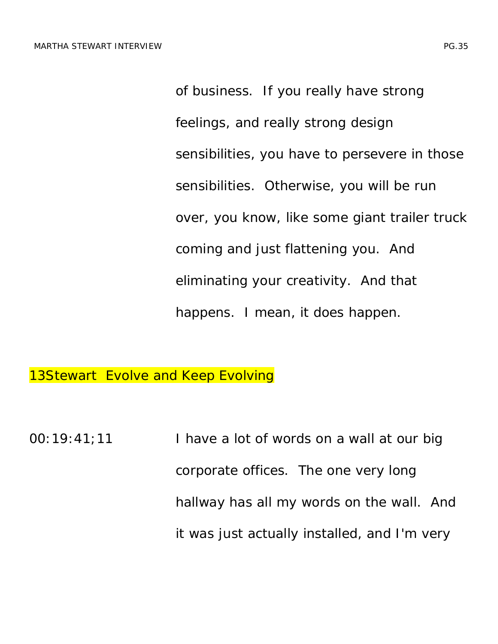of business. If you really have strong feelings, and really strong design sensibilities, you have to persevere in those sensibilities. Otherwise, you will be run over, you know, like some giant trailer truck coming and just flattening you. And eliminating your creativity. And that happens. I mean, it does happen.

13Stewart Evolve and Keep Evolving

 $00:19:41;11$  I have a lot of words on a wall at our big corporate offices. The one very long hallway has all my words on the wall. And it was just actually installed, and I'm very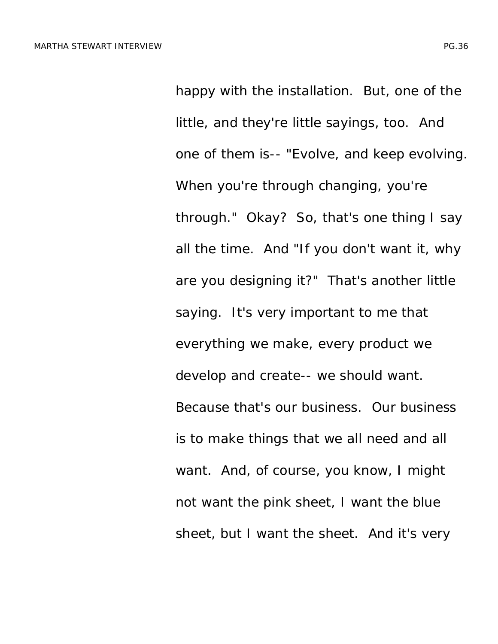happy with the installation. But, one of the little, and they're little sayings, too. And one of them is-- "Evolve, and keep evolving. When you're through changing, you're through." Okay? So, that's one thing I say all the time. And "If you don't want it, why are you designing it?" That's another little saying. It's very important to me that everything we make, every product we develop and create-- we should want. Because that's our business. Our business is to make things that we all need and all want. And, of course, you know, I might not want the pink sheet, I want the blue sheet, but I want the sheet. And it's very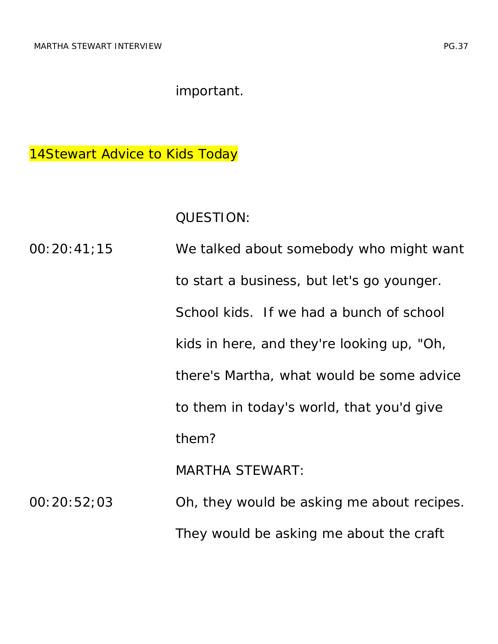important.

14Stewart Advice to Kids Today

QUESTION:

00:20:41;15 We talked about somebody who might want to start a business, but let's go younger. School kids. If we had a bunch of school kids in here, and they're looking up, "Oh, there's Martha, what would be some advice to them in today's world, that you'd give them? MARTHA STEWART: 00:20:52;03 Oh, they would be asking me about recipes. They would be asking me about the craft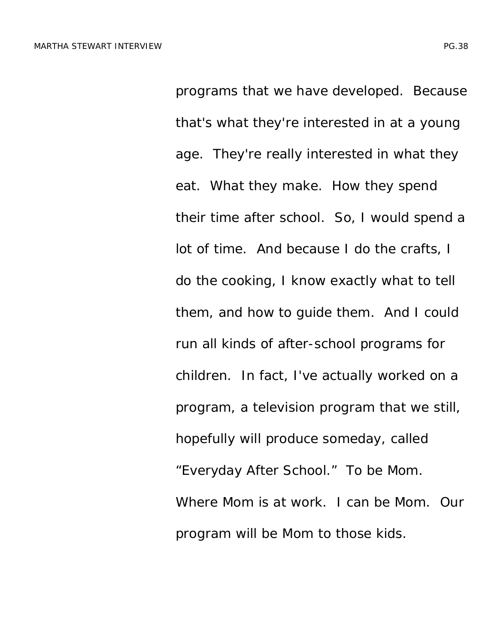programs that we have developed. Because that's what they're interested in at a young age. They're really interested in what they eat. What they make. How they spend their time after school. So, I would spend a lot of time. And because I do the crafts, I do the cooking, I know exactly what to tell them, and how to guide them. And I could run all kinds of after-school programs for children. In fact, I've actually worked on a program, a television program that we still, hopefully will produce someday, called "Everyday After School." To be Mom. Where Mom is at work. I can be Mom. Our program will be Mom to those kids.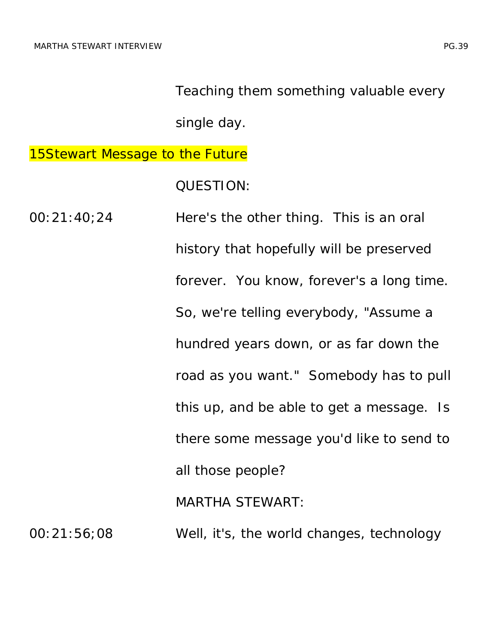Teaching them something valuable every

single day.

**15Stewart Message to the Future** 

QUESTION:

00:21:40;24 Here's the other thing. This is an oral history that hopefully will be preserved forever. You know, forever's a long time. So, we're telling everybody, "Assume a hundred years down, or as far down the road as you want." Somebody has to pull this up, and be able to get a message. Is there some message you'd like to send to all those people? MARTHA STEWART: 00:21:56;08 Well, it's, the world changes, technology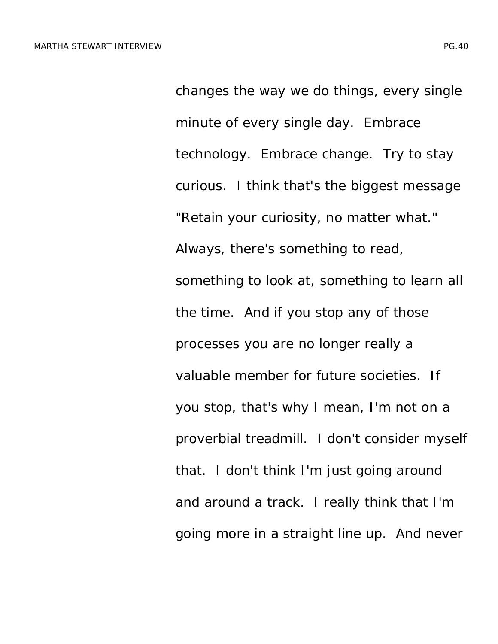changes the way we do things, every single minute of every single day. Embrace technology. Embrace change. Try to stay curious. I think that's the biggest message "Retain your curiosity, no matter what." Always, there's something to read, something to look at, something to learn all the time. And if you stop any of those processes you are no longer really a valuable member for future societies. If you stop, that's why I mean, I'm not on a proverbial treadmill. I don't consider myself that. I don't think I'm just going around and around a track. I really think that I'm going more in a straight line up. And never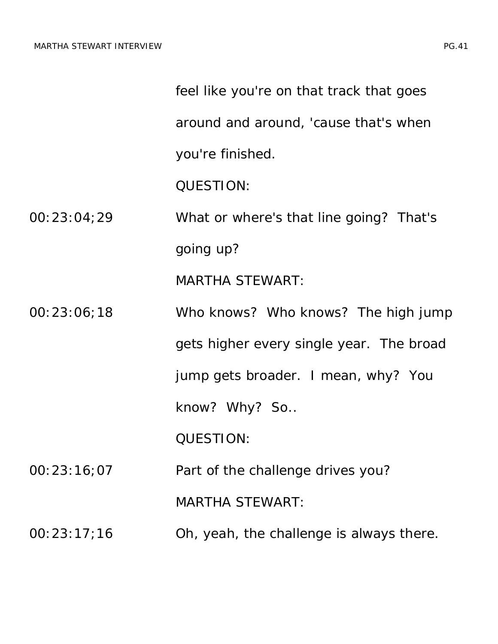|             | feel like you're on that track that goes |
|-------------|------------------------------------------|
|             | around and around, 'cause that's when    |
|             | you're finished.                         |
|             | <b>QUESTION:</b>                         |
| 00:23:04;29 | What or where's that line going? That's  |
|             | going up?                                |
|             | <b>MARTHA STEWART:</b>                   |
| 00:23:06;18 | Who knows? Who knows? The high jump      |
|             | gets higher every single year. The broad |
|             | jump gets broader. I mean, why? You      |
|             | know? Why? So                            |
|             | <b>QUESTION:</b>                         |
| 00:23:16;07 | Part of the challenge drives you?        |
|             | <b>MARTHA STEWART:</b>                   |
| 00:23:17;16 | Oh, yeah, the challenge is always there. |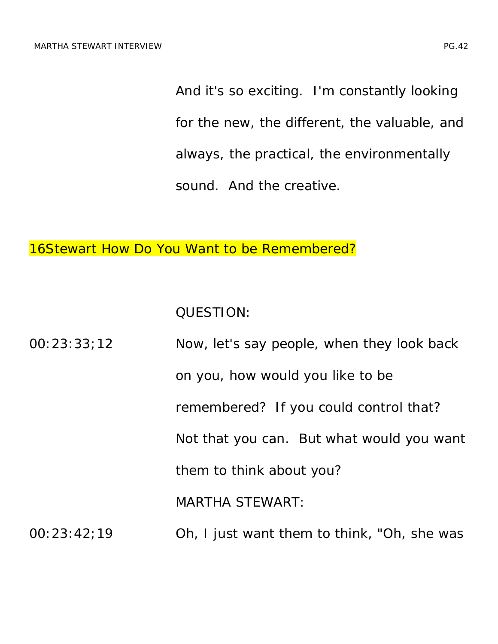And it's so exciting. I'm constantly looking for the new, the different, the valuable, and always, the practical, the environmentally sound. And the creative.

16Stewart How Do You Want to be Remembered?

QUESTION:

| 00:23:33:12 | Now, let's say people, when they look back  |
|-------------|---------------------------------------------|
|             | on you, how would you like to be            |
|             | remembered? If you could control that?      |
|             | Not that you can. But what would you want   |
|             | them to think about you?                    |
|             | <b>MARTHA STEWART:</b>                      |
| 00:23:42:19 | Oh, I just want them to think, "Oh, she was |